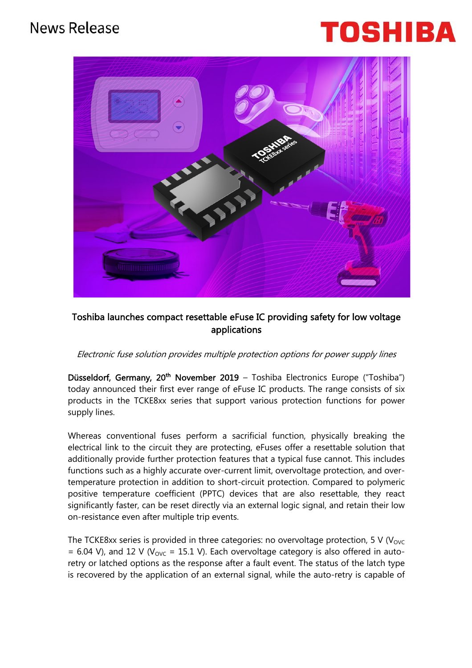# **News Release**

# TOSHIB



## Toshiba launches compact resettable eFuse IC providing safety for low voltage applications

### Electronic fuse solution provides multiple protection options for power supply lines

Düsseldorf, Germany, 20<sup>th</sup> November 2019 – Toshiba Electronics Europe ("Toshiba") today announced their first ever range of eFuse IC products. The range consists of six products in the TCKE8xx series that support various protection functions for power supply lines.

Whereas conventional fuses perform a sacrificial function, physically breaking the electrical link to the circuit they are protecting, eFuses offer a resettable solution that additionally provide further protection features that a typical fuse cannot. This includes functions such as a highly accurate over-current limit, overvoltage protection, and overtemperature protection in addition to short-circuit protection. Compared to polymeric positive temperature coefficient (PPTC) devices that are also resettable, they react significantly faster, can be reset directly via an external logic signal, and retain their low on-resistance even after multiple trip events.

The TCKE8xx series is provided in three categories: no overvoltage protection, 5 V ( $V_{\text{OVC}}$ = 6.04 V), and 12 V ( $V_{\text{OVC}}$  = 15.1 V). Each overvoltage category is also offered in autoretry or latched options as the response after a fault event. The status of the latch type is recovered by the application of an external signal, while the auto-retry is capable of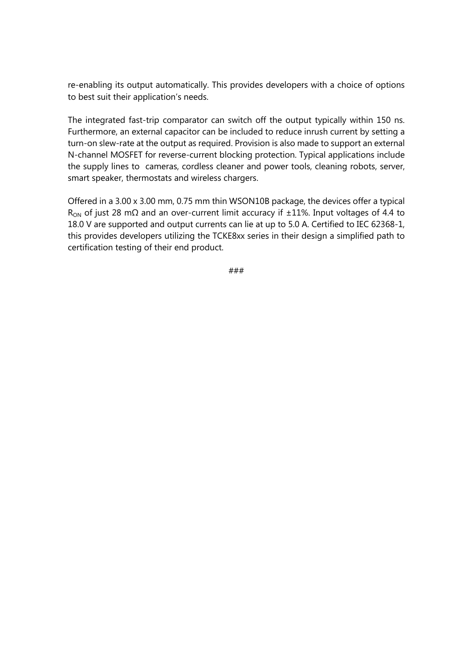re-enabling its output automatically. This provides developers with a choice of options to best suit their application's needs.

The integrated fast-trip comparator can switch off the output typically within 150 ns. Furthermore, an external capacitor can be included to reduce inrush current by setting a turn-on slew-rate at the output as required. Provision is also made to support an external N-channel MOSFET for reverse-current blocking protection. Typical applications include the supply lines to cameras, cordless cleaner and power tools, cleaning robots, server, smart speaker, thermostats and wireless chargers.

Offered in a 3.00 x 3.00 mm, 0.75 mm thin WSON10B package, the devices offer a typical  $R<sub>OM</sub>$  of just 28 mΩ and an over-current limit accuracy if  $±11%$ . Input voltages of 4.4 to 18.0 V are supported and output currents can lie at up to 5.0 A. Certified to IEC 62368-1, this provides developers utilizing the TCKE8xx series in their design a simplified path to certification testing of their end product.

###